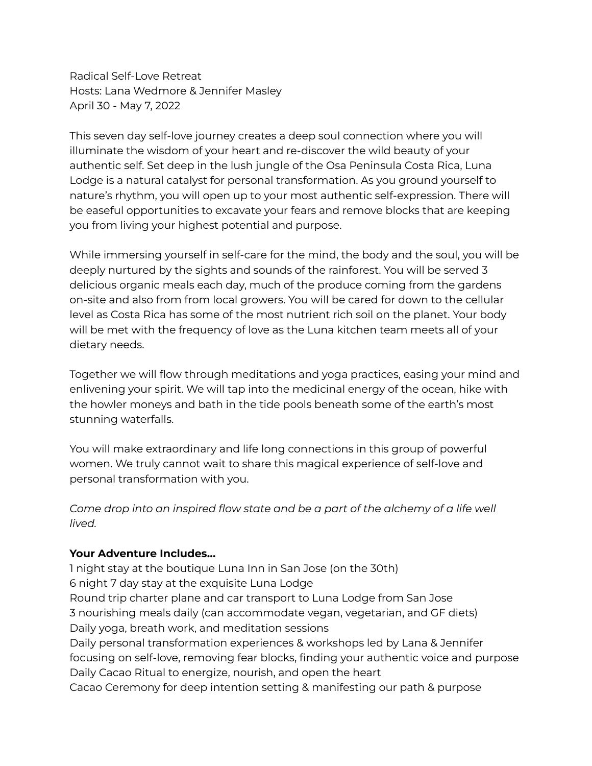Radical Self-Love Retreat Hosts: Lana Wedmore & Jennifer Masley April 30 - May 7, 2022

This seven day self-love journey creates a deep soul connection where you will illuminate the wisdom of your heart and re-discover the wild beauty of your authentic self. Set deep in the lush jungle of the Osa Peninsula Costa Rica, Luna Lodge is a natural catalyst for personal transformation. As you ground yourself to nature's rhythm, you will open up to your most authentic self-expression. There will be easeful opportunities to excavate your fears and remove blocks that are keeping you from living your highest potential and purpose.

While immersing yourself in self-care for the mind, the body and the soul, you will be deeply nurtured by the sights and sounds of the rainforest. You will be served 3 delicious organic meals each day, much of the produce coming from the gardens on-site and also from from local growers. You will be cared for down to the cellular level as Costa Rica has some of the most nutrient rich soil on the planet. Your body will be met with the frequency of love as the Luna kitchen team meets all of your dietary needs.

Together we will flow through meditations and yoga practices, easing your mind and enlivening your spirit. We will tap into the medicinal energy of the ocean, hike with the howler moneys and bath in the tide pools beneath some of the earth's most stunning waterfalls.

You will make extraordinary and life long connections in this group of powerful women. We truly cannot wait to share this magical experience of self-love and personal transformation with you.

*Come drop into an inspired flow state and be a part of the alchemy of a life well lived.*

# **Your Adventure Includes…**

1 night stay at the boutique Luna Inn in San Jose (on the 30th) 6 night 7 day stay at the exquisite Luna Lodge Round trip charter plane and car transport to Luna Lodge from San Jose 3 nourishing meals daily (can accommodate vegan, vegetarian, and GF diets) Daily yoga, breath work, and meditation sessions Daily personal transformation experiences & workshops led by Lana & Jennifer focusing on self-love, removing fear blocks, finding your authentic voice and purpose Daily Cacao Ritual to energize, nourish, and open the heart Cacao Ceremony for deep intention setting & manifesting our path & purpose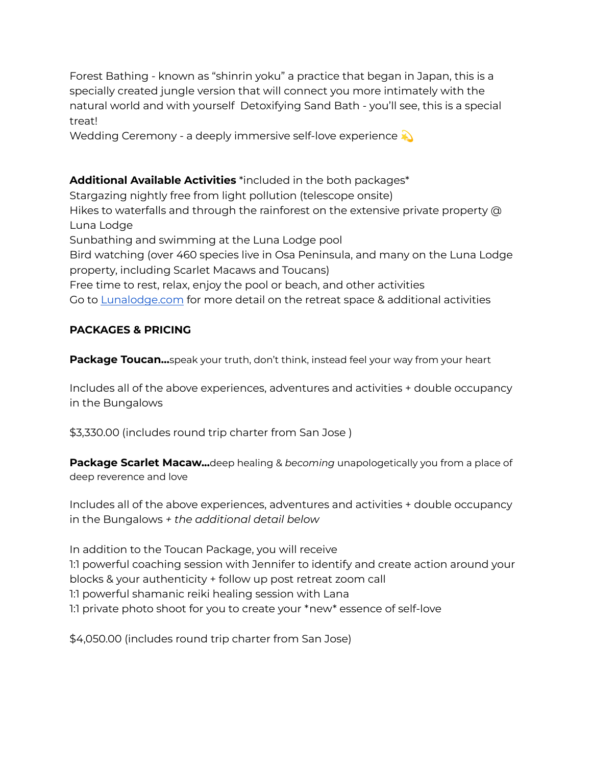Forest Bathing - known as "shinrin yoku" a practice that began in Japan, this is a specially created jungle version that will connect you more intimately with the natural world and with yourself Detoxifying Sand Bath - you'll see, this is a special treat!

Wedding Ceremony - a deeply immersive self-love experience

# **Additional Available Activities** \*included in the both packages\*

Stargazing nightly free from light pollution (telescope onsite) Hikes to waterfalls and through the rainforest on the extensive private property @ Luna Lodge Sunbathing and swimming at the Luna Lodge pool Bird watching (over 460 species live in Osa Peninsula, and many on the Luna Lodge property, including Scarlet Macaws and Toucans) Free time to rest, relax, enjoy the pool or beach, and other activities Go to [Lunalodge.com](http://lunalodge.com/) for more detail on the retreat space & additional activities

## **PACKAGES & PRICING**

**Package Toucan...**speak your truth, don't think, instead feel your way from your heart

Includes all of the above experiences, adventures and activities + double occupancy in the Bungalows

\$3,330.00 (includes round trip charter from San Jose )

**Package Scarlet Macaw...**deep healing & *becoming* unapologetically you from a place of deep reverence and love

Includes all of the above experiences, adventures and activities + double occupancy in the Bungalows *+ the additional detail below*

In addition to the Toucan Package, you will receive 1:1 powerful coaching session with Jennifer to identify and create action around your blocks & your authenticity + follow up post retreat zoom call 1:1 powerful shamanic reiki healing session with Lana 1:1 private photo shoot for you to create your \*new\* essence of self-love

\$4,050.00 (includes round trip charter from San Jose)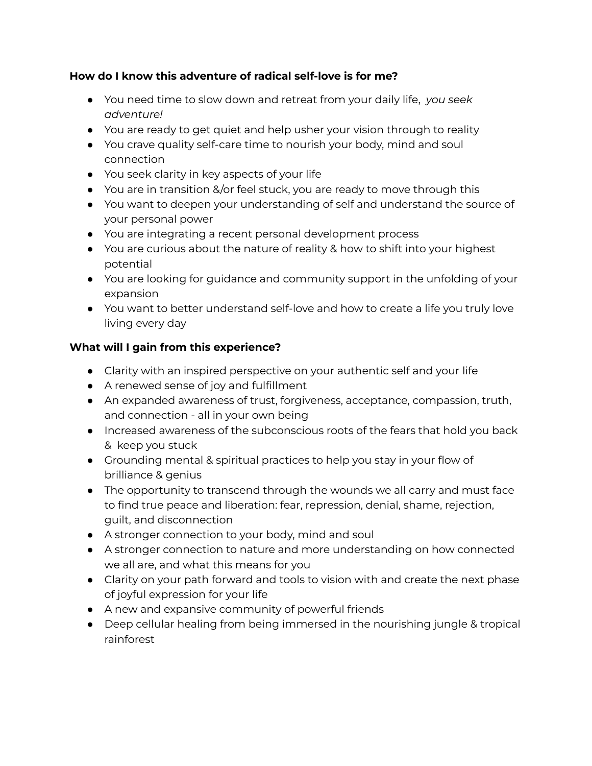# **How do I know this adventure of radical self-love is for me?**

- You need time to slow down and retreat from your daily life, *you seek adventure!*
- You are ready to get quiet and help usher your vision through to reality
- You crave quality self-care time to nourish your body, mind and soul connection
- You seek clarity in key aspects of your life
- You are in transition &/or feel stuck, you are ready to move through this
- You want to deepen your understanding of self and understand the source of your personal power
- You are integrating a recent personal development process
- You are curious about the nature of reality & how to shift into your highest potential
- You are looking for guidance and community support in the unfolding of your expansion
- You want to better understand self-love and how to create a life you truly love living every day

# **What will I gain from this experience?**

- Clarity with an inspired perspective on your authentic self and your life
- A renewed sense of joy and fulfillment
- An expanded awareness of trust, forgiveness, acceptance, compassion, truth, and connection - all in your own being
- Increased awareness of the subconscious roots of the fears that hold you back & keep you stuck
- Grounding mental & spiritual practices to help you stay in your flow of brilliance & genius
- The opportunity to transcend through the wounds we all carry and must face to find true peace and liberation: fear, repression, denial, shame, rejection, guilt, and disconnection
- A stronger connection to your body, mind and soul
- A stronger connection to nature and more understanding on how connected we all are, and what this means for you
- Clarity on your path forward and tools to vision with and create the next phase of joyful expression for your life
- A new and expansive community of powerful friends
- Deep cellular healing from being immersed in the nourishing jungle & tropical rainforest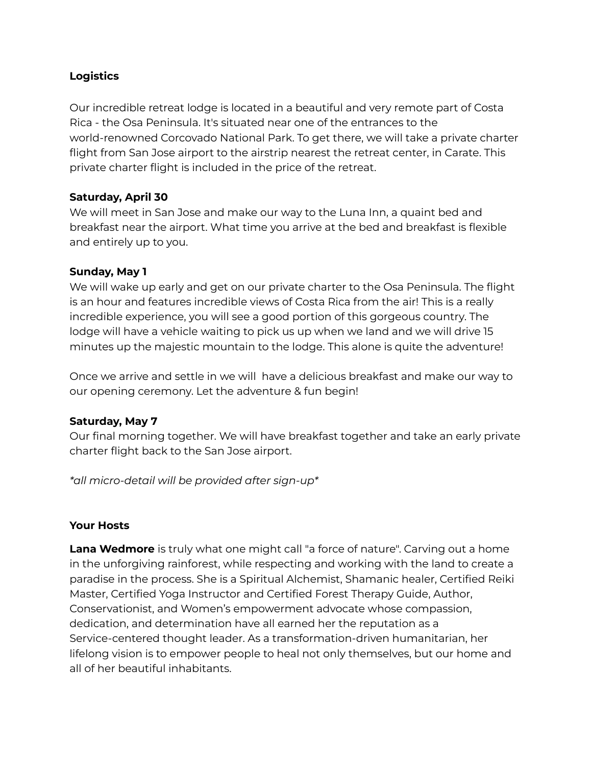### **Logistics**

Our incredible retreat lodge is located in a beautiful and very remote part of Costa Rica - the Osa Peninsula. It's situated near one of the entrances to the world-renowned Corcovado National Park. To get there, we will take a private charter flight from San Jose airport to the airstrip nearest the retreat center, in Carate. This private charter flight is included in the price of the retreat.

## **Saturday, April 30**

We will meet in San Jose and make our way to the Luna Inn, a quaint bed and breakfast near the airport. What time you arrive at the bed and breakfast is flexible and entirely up to you.

#### **Sunday, May 1**

We will wake up early and get on our private charter to the Osa Peninsula. The flight is an hour and features incredible views of Costa Rica from the air! This is a really incredible experience, you will see a good portion of this gorgeous country. The lodge will have a vehicle waiting to pick us up when we land and we will drive 15 minutes up the majestic mountain to the lodge. This alone is quite the adventure!

Once we arrive and settle in we will have a delicious breakfast and make our way to our opening ceremony. Let the adventure & fun begin!

#### **Saturday, May 7**

Our final morning together. We will have breakfast together and take an early private charter flight back to the San Jose airport.

*\*all micro-detail will be provided after sign-up\**

#### **Your Hosts**

**Lana Wedmore** is truly what one might call "a force of nature". Carving out a home in the unforgiving rainforest, while respecting and working with the land to create a paradise in the process. She is a Spiritual Alchemist, Shamanic healer, Certified Reiki Master, Certified Yoga Instructor and Certified Forest Therapy Guide, Author, Conservationist, and Women's empowerment advocate whose compassion, dedication, and determination have all earned her the reputation as a Service-centered thought leader. As a transformation-driven humanitarian, her lifelong vision is to empower people to heal not only themselves, but our home and all of her beautiful inhabitants.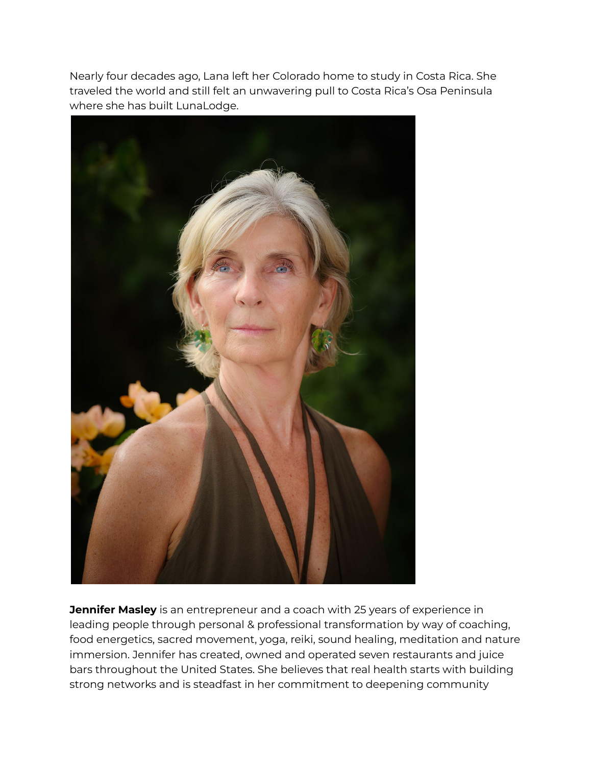Nearly four decades ago, Lana left her Colorado home to study in Costa Rica. She traveled the world and still felt an unwavering pull to Costa Rica's Osa Peninsula where she has built LunaLodge.



**Jennifer Masley** is an entrepreneur and a coach with 25 years of experience in leading people through personal & professional transformation by way of coaching, food energetics, sacred movement, yoga, reiki, sound healing, meditation and nature immersion. Jennifer has created, owned and operated seven restaurants and juice bars throughout the United States. She believes that real health starts with building strong networks and is steadfast in her commitment to deepening community